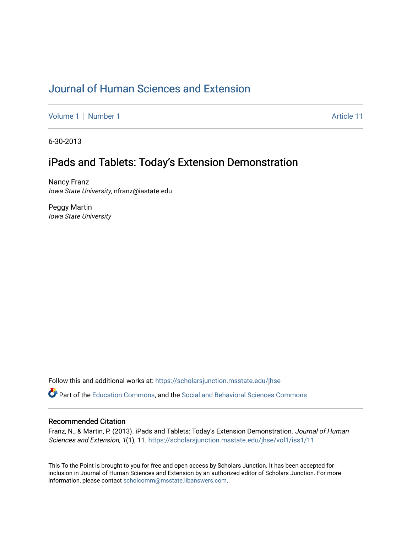## [Journal of Human Sciences and Extension](https://scholarsjunction.msstate.edu/jhse)

[Volume 1](https://scholarsjunction.msstate.edu/jhse/vol1) | [Number 1](https://scholarsjunction.msstate.edu/jhse/vol1/iss1) Article 11

6-30-2013

## iPads and Tablets: Today's Extension Demonstration

Nancy Franz Iowa State University, nfranz@iastate.edu

Peggy Martin Iowa State University

Follow this and additional works at: [https://scholarsjunction.msstate.edu/jhse](https://scholarsjunction.msstate.edu/jhse?utm_source=scholarsjunction.msstate.edu%2Fjhse%2Fvol1%2Fiss1%2F11&utm_medium=PDF&utm_campaign=PDFCoverPages)

Part of the [Education Commons](http://network.bepress.com/hgg/discipline/784?utm_source=scholarsjunction.msstate.edu%2Fjhse%2Fvol1%2Fiss1%2F11&utm_medium=PDF&utm_campaign=PDFCoverPages), and the [Social and Behavioral Sciences Commons](http://network.bepress.com/hgg/discipline/316?utm_source=scholarsjunction.msstate.edu%2Fjhse%2Fvol1%2Fiss1%2F11&utm_medium=PDF&utm_campaign=PDFCoverPages) 

#### Recommended Citation

Franz, N., & Martin, P. (2013). iPads and Tablets: Today's Extension Demonstration. Journal of Human Sciences and Extension, 1(1), 11. [https://scholarsjunction.msstate.edu/jhse/vol1/iss1/11](https://scholarsjunction.msstate.edu/jhse/vol1/iss1/11?utm_source=scholarsjunction.msstate.edu%2Fjhse%2Fvol1%2Fiss1%2F11&utm_medium=PDF&utm_campaign=PDFCoverPages)

This To the Point is brought to you for free and open access by Scholars Junction. It has been accepted for inclusion in Journal of Human Sciences and Extension by an authorized editor of Scholars Junction. For more information, please contact [scholcomm@msstate.libanswers.com](mailto:scholcomm@msstate.libanswers.com).